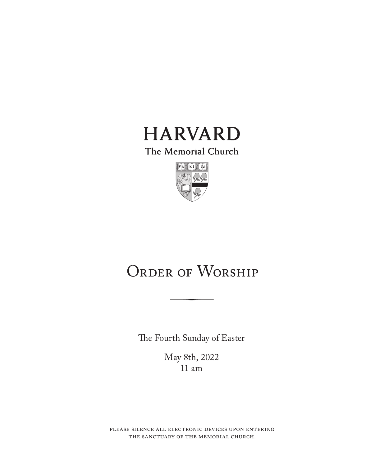

The Memorial Church



# ORDER OF WORSHIP

The Fourth Sunday of Easter

May 8th, 2022 11 am

please silence all electronic devices upon entering the sanctuary of the memorial church.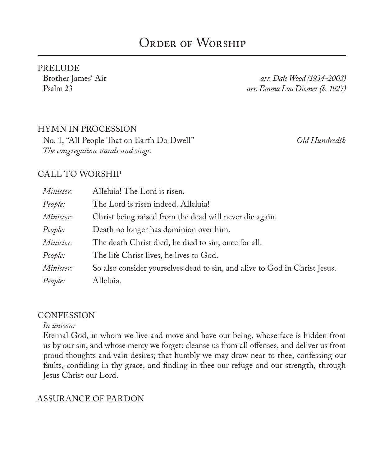# ORDER OF WORSHIP

PRELUDE<br>Brother James' Air

Brother James' Air *arr. Dale Wood (1934-2003)* arr. Emma Lou Diemer (b. 1927)

HYMN IN PROCESSION No. 1, "All People That on Earth Do Dwell" *Old Hundredth The congregation stands and sings.*

## CALL TO WORSHIP

| <i>Minister:</i> | Alleluia! The Lord is risen.                                               |
|------------------|----------------------------------------------------------------------------|
| People:          | The Lord is risen indeed. Alleluia!                                        |
| <i>Minister:</i> | Christ being raised from the dead will never die again.                    |
| People:          | Death no longer has dominion over him.                                     |
| Minister:        | The death Christ died, he died to sin, once for all.                       |
| People:          | The life Christ lives, he lives to God.                                    |
| <i>Minister:</i> | So also consider yourselves dead to sin, and alive to God in Christ Jesus. |
| People:          | Alleluia.                                                                  |

#### **CONFESSION**

*In unison:*

Eternal God, in whom we live and move and have our being, whose face is hidden from us by our sin, and whose mercy we forget: cleanse us from all offenses, and deliver us from proud thoughts and vain desires; that humbly we may draw near to thee, confessing our faults, confiding in thy grace, and finding in thee our refuge and our strength, through Jesus Christ our Lord.

## ASSURANCE OF PARDON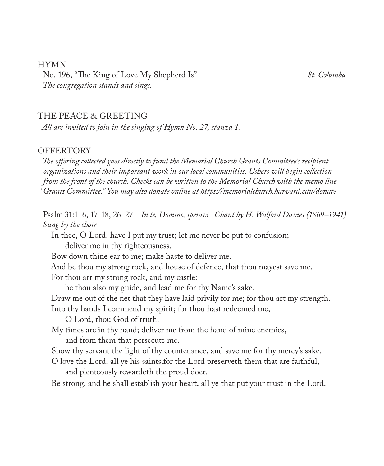#### HYMN

No. 196, "The King of Love My Shepherd Is" *St. Columba The congregation stands and sings.*

#### THE PEACE & GREETING

*All are invited to join in the singing of Hymn No. 27, stanza 1.*

#### **OFFERTORY**

*The offering collected goes directly to fund the Memorial Church Grants Committee's recipient organizations and their important work in our local communities. Ushers will begin collection from the front of the church. Checks can be written to the Memorial Church with the memo line "Grants Committee." You may also donate online at https://memorialchurch.harvard.edu/donate* 

Psalm 31:1–6, 17–18, 26–27 *In te, Domine, speravi Chant by H. Walford Davies (1869–1941) Sung by the choir*

In thee, O Lord, have I put my trust; let me never be put to confusion; deliver me in thy righteousness.

Bow down thine ear to me; make haste to deliver me.

And be thou my strong rock, and house of defence, that thou mayest save me.

For thou art my strong rock, and my castle:

be thou also my guide, and lead me for thy Name's sake.

Draw me out of the net that they have laid privily for me; for thou art my strength.

Into thy hands I commend my spirit; for thou hast redeemed me,

O Lord, thou God of truth.

My times are in thy hand; deliver me from the hand of mine enemies,

and from them that persecute me.

Show thy servant the light of thy countenance, and save me for thy mercy's sake.

O love the Lord, all ye his saints;for the Lord preserveth them that are faithful, and plenteously rewardeth the proud doer.

Be strong, and he shall establish your heart, all ye that put your trust in the Lord.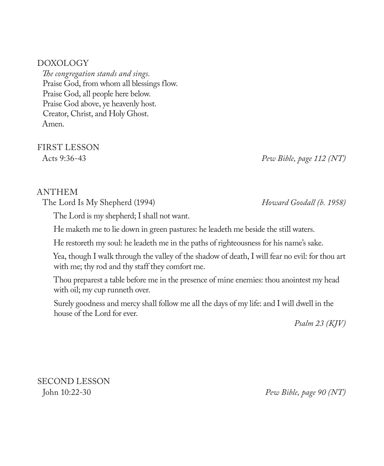## DOXOLOGY

*The congregation stands and sings.* Praise God, from whom all blessings flow. Praise God, all people here below. Praise God above, ye heavenly host. Creator, Christ, and Holy Ghost. Amen.

FIRST LESSON<br>Acts 9:36-43

## Acts 9:36-43 *Pew Bible, page 112 (NT)*

## ANTHEM

The Lord Is My Shepherd (1994) *Howard Goodall (b. 1958)* 

The Lord is my shepherd; I shall not want.

He maketh me to lie down in green pastures: he leadeth me beside the still waters.

He restoreth my soul: he leadeth me in the paths of righteousness for his name's sake.

Yea, though I walk through the valley of the shadow of death, I will fear no evil: for thou art with me; thy rod and thy staff they comfort me.

Thou preparest a table before me in the presence of mine enemies: thou anointest my head with oil; my cup runneth over.

Surely goodness and mercy shall follow me all the days of my life: and I will dwell in the house of the Lord for ever.

*Psalm 23 (KJV)*

SECOND LESSON

John 10:22-30 *Pew Bible, page 90 (NT)*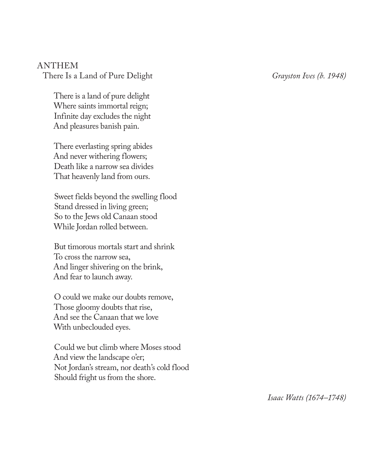## ANTHEM

There Is a Land of Pure Delight *Grayston Ives (b. 1948)*

There is a land of pure delight Where saints immortal reign; Infinite day excludes the night And pleasures banish pain.

There everlasting spring abides And never withering flowers; Death like a narrow sea divides That heavenly land from ours.

Sweet fields beyond the swelling flood Stand dressed in living green; So to the Jews old Canaan stood While Jordan rolled between.

But timorous mortals start and shrink To cross the narrow sea, And linger shivering on the brink, And fear to launch away.

O could we make our doubts remove, Those gloomy doubts that rise, And see the Canaan that we love With unbeclouded eyes.

Could we but climb where Moses stood And view the landscape o'er; Not Jordan's stream, nor death's cold flood Should fright us from the shore.

*Isaac Watts (1674–1748)*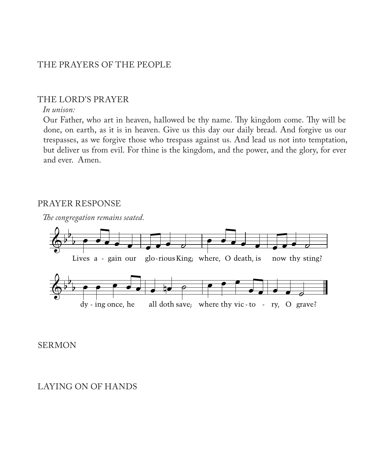## THE PRAYERS OF THE PEOPLE

## THE LORD'S PRAYER

#### *In unison:*

Our Father, who art in heaven, hallowed be thy name. Thy kingdom come. Thy will be done, on earth, as it is in heaven. Give us this day our daily bread. And forgive us our trespasses, as we forgive those who trespass against us. And lead us not into temptation, but deliver us from evil. For thine is the kingdom, and the power, and the glory, for ever and ever. Amen.

## PRAYER RESPONSE

*The congregation remains seated.*



#### **SERMON**

## LAYING ON OF HANDS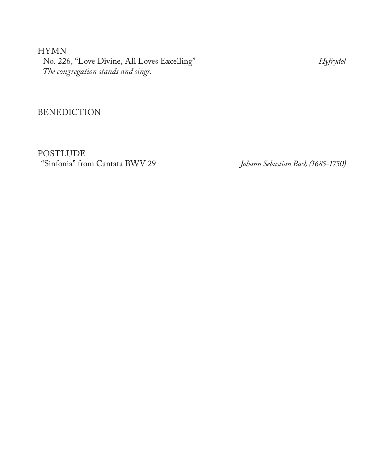## HYMN No. 226, "Love Divine, All Loves Excelling" *Hyfrydol The congregation stands and sings.*

## BENEDICTION

POSTLUDE<br>"Sinfonia" from Cantata BWV 29

Johann Sebastian Bach (1685-1750)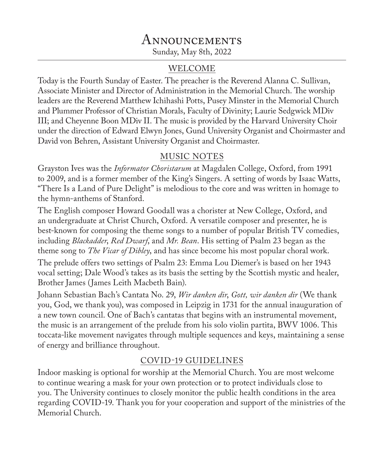# Announcements

Sunday, May 8th, 2022

## WELCOME

Today is the Fourth Sunday of Easter. The preacher is the Reverend Alanna C. Sullivan, Associate Minister and Director of Administration in the Memorial Church. The worship leaders are the Reverend Matthew Ichihashi Potts, Pusey Minster in the Memorial Church and Plummer Professor of Christian Morals, Faculty of Divinity; Laurie Sedgwick MDiv III; and Cheyenne Boon MDiv II. The music is provided by the Harvard University Choir under the direction of Edward Elwyn Jones, Gund University Organist and Choirmaster and David von Behren, Assistant University Organist and Choirmaster.

## MUSIC NOTES

Grayston Ives was the *Informator Choristarum* at Magdalen College, Oxford, from 1991 to 2009, and is a former member of the King's Singers. A setting of words by Isaac Watts, "There Is a Land of Pure Delight" is melodious to the core and was written in homage to the hymn-anthems of Stanford.

The English composer Howard Goodall was a chorister at New College, Oxford, and an undergraduate at Christ Church, Oxford. A versatile composer and presenter, he is best-known for composing the theme songs to a number of popular British TV comedies, including *Blackadder*, *Red Dwarf*, and *Mr. Bean*. His setting of Psalm 23 began as the theme song to *The Vicar of Dibley*, and has since become his most popular choral work.

The prelude offers two settings of Psalm 23: Emma Lou Diemer's is based on her 1943 vocal setting; Dale Wood's takes as its basis the setting by the Scottish mystic and healer, Brother James (James Leith Macbeth Bain).

Johann Sebastian Bach's Cantata No. 29, *Wir danken dir*, *Gott, wir danken dir* (We thank you, God, we thank you), was composed in Leipzig in 1731 for the annual inauguration of a new town council. One of Bach's cantatas that begins with an instrumental movement, the music is an arrangement of the prelude from his solo violin partita, BWV 1006. This toccata-like movement navigates through multiple sequences and keys, maintaining a sense of energy and brilliance throughout.

## COVID-19 GUIDELINES

Indoor masking is optional for worship at the Memorial Church. You are most welcome to continue wearing a mask for your own protection or to protect individuals close to you. The University continues to closely monitor the public health conditions in the area regarding COVID-19. Thank you for your cooperation and support of the ministries of the Memorial Church.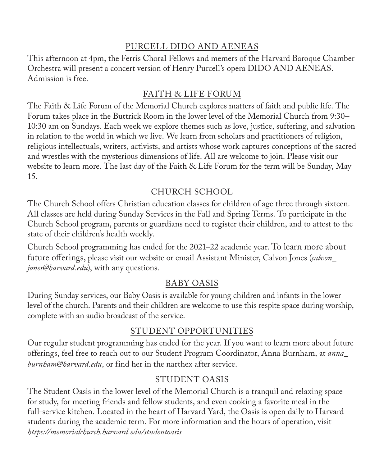# PURCELL DIDO AND AENEAS

This afternoon at 4pm, the Ferris Choral Fellows and memers of the Harvard Baroque Chamber Orchestra will present a concert version of Henry Purcell's opera DIDO AND AENEAS. Admission is free.

# FAITH & LIFE FORUM

The Faith & Life Forum of the Memorial Church explores matters of faith and public life. The Forum takes place in the Buttrick Room in the lower level of the Memorial Church from 9:30– 10:30 am on Sundays. Each week we explore themes such as love, justice, suffering, and salvation in relation to the world in which we live. We learn from scholars and practitioners of religion, religious intellectuals, writers, activists, and artists whose work captures conceptions of the sacred and wrestles with the mysterious dimensions of life. All are welcome to join. Please visit our website to learn more. The last day of the Faith & Life Forum for the term will be Sunday, May 15.

# CHURCH SCHOOL

The Church School offers Christian education classes for children of age three through sixteen. All classes are held during Sunday Services in the Fall and Spring Terms. To participate in the Church School program, parents or guardians need to register their children, and to attest to the state of their children's health weekly.

Church School programming has ended for the 2021–22 academic year. To learn more about future offerings, please visit our website or email Assistant Minister, Calvon Jones (*calvon\_ jones@harvard.edu*), with any questions.

# BABY OASIS

During Sunday services, our Baby Oasis is available for young children and infants in the lower level of the church. Parents and their children are welcome to use this respite space during worship, complete with an audio broadcast of the service.

# STUDENT OPPORTUNITIES

Our regular student programming has ended for the year. If you want to learn more about future offerings, feel free to reach out to our Student Program Coordinator, Anna Burnham, at *anna\_ burnham@harvard.edu*, or find her in the narthex after service.

# STUDENT OASIS

The Student Oasis in the lower level of the Memorial Church is a tranquil and relaxing space for study, for meeting friends and fellow students, and even cooking a favorite meal in the full-service kitchen. Located in the heart of Harvard Yard, the Oasis is open daily to Harvard students during the academic term. For more information and the hours of operation, visit *https://memorialchurch.harvard.edu/studentoasis*